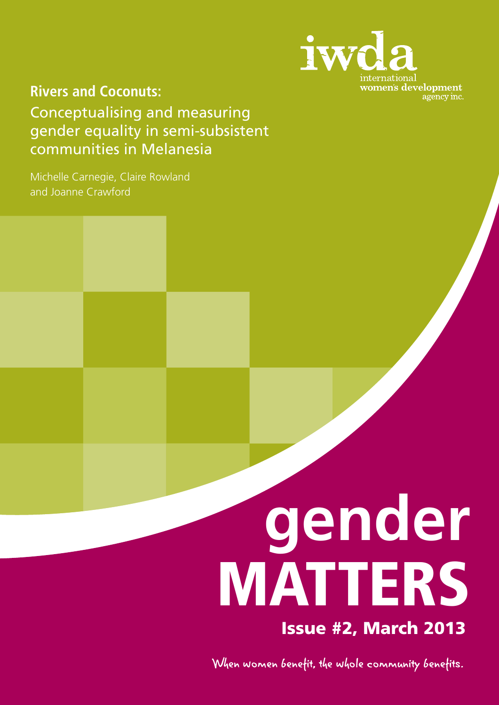

**Rivers and Coconuts:**  Conceptualising and measuring gender equality in semi-subsistent communities in Melanesia

Michelle Carnegie, Claire Rowland and Joanne Crawford

# **gender** MATTERS Issue #2, March 2013

When women benefit, the whole community benefits.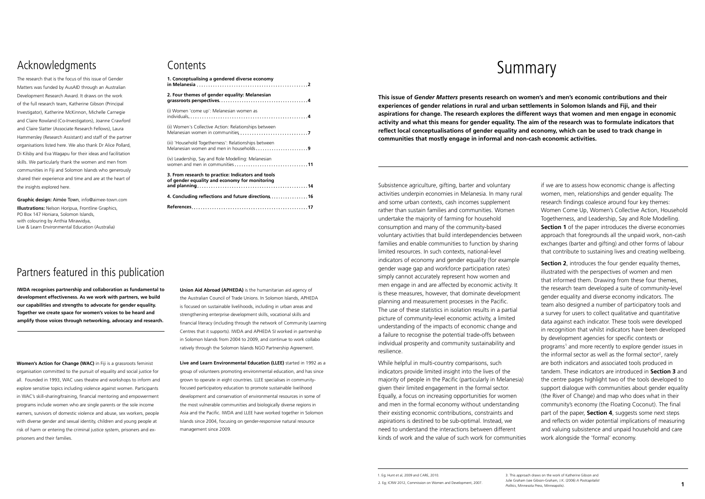# Summary

**This issue of** *Gender Matters* **presents research on women's and men's economic contributions and their experiences of gender relations in rural and urban settlements in Solomon Islands and Fiji, and their aspirations for change. The research explores the different ways that women and men engage in economic activity and what this means for gender equality. The aim of the research was to formulate indicators that reflect local conceptualisations of gender equality and economy, which can be used to track change in communities that mostly engage in informal and non-cash economic activities.**

The research that is the focus of this issue of Gender Matters was funded by AusAID through an Australian Development Research Award. It draws on the work of the full research team, Katherine Gibson (Principal Investigator), Katherine McKinnon, Michelle Carnegie and Claire Rowland (Co-Investigators), Joanne Crawford and Claire Slatter (Associate Research Fellows), Laura Hammersley (Research Assistant) and staff of the partner organisations listed here. We also thank Dr Alice Pollard, Di Kilsby and Eva Wagapu for their ideas and facilitation skills. We particularly thank the women and men from communities in Fiji and Solomon Islands who generously shared their experience and time and are at the heart of the insights explored here.

**Graphic design:** Aimée Town, info@aimee-town.com **Illustrations:** Nelson Horipua, Frontline Graphics, PO Box 147 Honiara, Solomon Islands, with colouring by Anthia Mirawidya, Live & Learn Environmental Education (Australia)

### **Contents**

**Women's Action for Change (WAC)** in Fiji is a grassroots feminist organisation committed to the pursuit of equality and social justice for all. Founded in 1993, WAC uses theatre and workshops to inform and explore sensitive topics including violence against women. Participants in WAC's skill-sharing/training, financial mentoring and empowerment programs include women who are single parents or the sole income earners, survivors of domestic violence and abuse, sex workers, people with diverse gender and sexual identity, children and young people at risk of harm or entering the criminal justice system, prisoners and exprisoners and their families.

2. Eg; ICRW 2012, Commission on Women and Development, 2007.

**IWDA recognises partnership and collaboration as fundamental to development effectiveness. As we work with partners, we build our capabilities and strengths to advocate for gender equality. Together we create space for women's voices to be heard and amplify those voices through networking, advocacy and research.**

### Partners featured in this publication

Subsistence agriculture, gifting, barter and voluntary activities underpin economies in Melanesia. In many rural and some urban contexts, cash incomes supplement rather than sustain families and communities. Women undertake the majority of farming for household consumption and many of the community-based voluntary activities that build interdependencies between families and enable communities to function by sharing limited resources. In such contexts, national-level indicators of economy and gender equality (for example gender wage gap and workforce participation rates) simply cannot accurately represent how women and men engage in and are affected by economic activity. It is these measures, however, that dominate development planning and measurement processes in the Pacific. The use of these statistics in isolation results in a partial picture of community-level economic activity, a limited understanding of the impacts of economic change and a failure to recognise the potential trade-offs between individual prosperity and community sustainability and resilience.

**Section 2**, introduces the four gender equality themes, illustrated with the perspectives of women and men that informed them. Drawing from these four themes, the research team developed a suite of community-level gender equality and diverse economy indicators. The team also designed a number of participatory tools and a survey for users to collect qualitative and quantitative data against each indicator. These tools were developed in recognition that whilst indicators have been developed by development agencies for specific contexts or programs<sup>1</sup> and more recently to explore gender issues in the informal sector as well as the formal sector<sup>2</sup>, rarely are both indicators and associated tools produced in tandem. These indicators are introduced in **Section 3** and the centre pages highlight two of the tools developed to support dialogue with communities about gender equality (the River of Change) and map who does what in their community's economy (the Floating Coconut). The final part of the paper, **Section 4**, suggests some next steps and reflects on wider potential implications of measuring and valuing subsistence and unpaid household and care work alongside the 'formal' economy.

While helpful in multi-country comparisons, such indicators provide limited insight into the lives of the majority of people in the Pacific (particularly in Melanesia) given their limited engagement in the formal sector. Equally, a focus on increasing opportunities for women and men in the formal economy without understanding their existing economic contributions, constraints and aspirations is destined to be sub-optimal. Instead, we need to understand the interactions between different kinds of work and the value of such work for communities

**Union Aid Abroad (APHEDA)** is the humanitarian aid agency of the Australian Council of Trade Unions. In Solomon Islands, APHEDA is focused on sustainable livelihoods, including in urban areas and strengthening enterprise development skills, vocational skills and financial literacy (including through the network of Community Learning Centres that it supports). IWDA and APHEDA SI worked in partnership in Solomon Islands from 2004 to 2009, and continue to work collabo ratively through the Solomon Islands NGO Partnership Agreement.

**Live and Learn Environmental Education (LLEE)** started in 1992 as a group of volunteers promoting environmental education, and has since grown to operate in eight countries. LLEE specialises in communityfocused participatory education to promote sustainable livelihood development and conservation of environmental resources in some of the most vulnerable communities and biologically diverse regions in Asia and the Pacific. IWDA and LLEE have worked together in Solomon Islands since 2004, focusing on gender-responsive natural resource management since 2009.

### Acknowledgments

if we are to assess how economic change is affecting women, men, relationships and gender equality. The research findings coalesce around four key themes: Women Come Up, Women's Collective Action, Household Togetherness, and Leadership, Say and Role Modelling. **Section 1** of the paper introduces the diverse economies approach that foregrounds all the unpaid work, non-cash exchanges (barter and gifting) and other forms of labour that contribute to sustaining lives and creating wellbeing.

| 1. Conceptualising a gendered diverse economy                                                       |
|-----------------------------------------------------------------------------------------------------|
| 2. Four themes of gender equality: Melanesian                                                       |
| (i) Women 'come up': Melanesian women as<br>individuals                                             |
| (ii) Women's Collective Action: Relationships between                                               |
| (iii) 'Household Togetherness': Relationships between<br>Melanesian women and men in households9    |
| (iv) Leadership, Say and Role Modelling: Melanesian                                                 |
| 3. From research to practice: Indicators and tools<br>of gender equality and economy for monitoring |
| 4. Concluding reflections and future directions 16                                                  |
|                                                                                                     |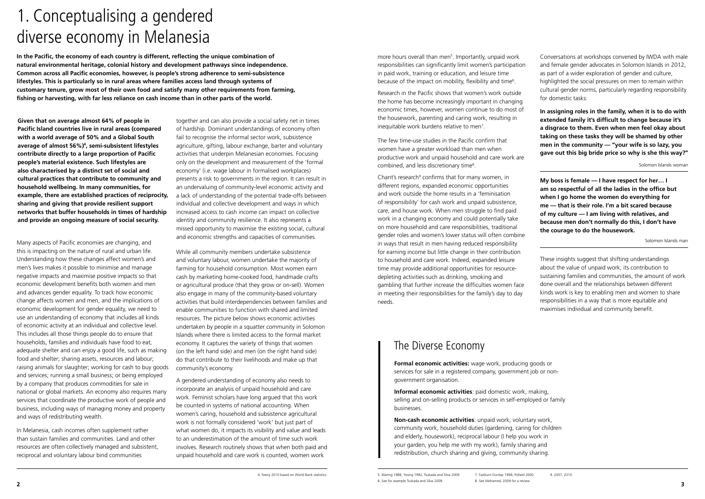Many aspects of Pacific economies are changing, and this is impacting on the nature of rural and urban life. Understanding how these changes affect women's and men's lives makes it possible to minimise and manage negative impacts and maximise positive impacts so that economic development benefits both women and men and advances gender equality. To track how economic change affects women and men, and the implications of economic development for gender equality, we need to use an understanding of economy that includes all kinds of economic activity at an individual and collective level. This includes all those things people do to ensure that households, families and individuals have food to eat, adequate shelter and can enjoy a good life, such as making food and shelter; sharing assets, resources and labour; raising animals for slaughter; working for cash to buy goods and services; running a small business; or being employed by a company that produces commodities for sale in national or global markets. An economy also requires many services that coordinate the productive work of people and business, including ways of managing money and property and ways of redistributing wealth.

The few time-use studies in the Pacific confirm that women have a greater workload than men when productive work and unpaid household and care work are combined, and less discretionary time<sup>8</sup>.

**Given that on average almost 64% of people in Pacific Island countries live in rural areas (compared with a world average of 50% and a Global South average of almost 56%)4 , semi-subsistent lifestyles contribute directly to a large proportion of Pacific people's material existence. Such lifestyles are also characterised by a distinct set of social and cultural practices that contribute to community and household wellbeing. In many communities, for example, there are established practices of reciprocity, sharing and giving that provide resilient support networks that buffer households in times of hardship and provide an ongoing measure of social security.**

Chant's research<sup>9</sup> confirms that for many women, in different regions, expanded economic opportunities and work outside the home results in a 'feminisation of responsibility' for cash work and unpaid subsistence, care, and house work. When men struggle to find paid work in a changing economy and could potentially take on more household and care responsibilities, traditional gender roles and women's lower status will often combine in ways that result in men having reduced responsibility for earning income but little change in their contribution to household and care work. Indeed, expanded leisure time may provide additional opportunities for resourcedepleting activities such as drinking, smoking and gambling that further increase the difficulties women face in meeting their responsibilities for the family's day to day needs.

# 1. Conceptualising a gendered diverse economy in Melanesia

**In the Pacific, the economy of each country is different, reflecting the unique combination of natural environmental heritage, colonial history and development pathways since independence. Common across all Pacific economies, however, is people's strong adherence to semi-subsistence lifestyles. This is particularly so in rural areas where families access land through systems of customary tenure, grow most of their own food and satisfy many other requirements from farming, fishing or harvesting, with far less reliance on cash income than in other parts of the world.**

A gendered understanding of economy also needs to incorporate an analysis of unpaid household and care work. Feminist scholars have long argued that this work be counted in systems of national accounting. When women's caring, household and subsistence agricultural work is not formally considered 'work' but just part of what women do, it impacts its visibility and value and leads to an underestimation of the amount of time such work involves. Research routinely shows that when both paid and unpaid household and care work is counted, women work

more hours overall than men<sup>5</sup>. Importantly, unpaid work responsibilities can significantly limit women's participation in paid work, training or education, and leisure time because of the impact on mobility, flexibility and time<sup>6</sup>.

Research in the Pacific shows that women's work outside the home has become increasingly important in changing economic times, however, women continue to do most of the housework, parenting and caring work, resulting in inequitable work burdens relative to men<sup>7</sup>.

While all community members undertake subsistence and voluntary labour, women undertake the majority of farming for household consumption. Most women earn cash by marketing home-cooked food, handmade crafts or agricultural produce (that they grow or on-sell). Women also engage in many of the community-based voluntary activities that build interdependencies between families and enable communities to function with shared and limited resources. The picture below shows economic activities undertaken by people in a squatter community in Solomon Islands where there is limited access to the formal market economy. It captures the variety of things that women (on the left hand side) and men (on the right hand side) do that contribute to their livelihoods and make up that community's economy.

In Melanesia, cash incomes often supplement rather than sustain families and communities. Land and other resources are often collectively managed and subsistent, reciprocal and voluntary labour bind communities

### The Diverse Economy

**Formal economic activities:** wage work, producing goods or services for sale in a registered company, government job or nongovernment organisation.

**Informal economic activities**: paid domestic work, making, selling and on-selling products or services in self-employed or family businesses.

**Non-cash economic activities**: unpaid work, voluntary work, community work, household duties (gardening, caring for children and elderly, housework), reciprocal labour (I help you work in your garden, you help me with my work), family sharing and redistribution, church sharing and giving, community sharing.

Conversations at workshops convened by IWDA with male and female gender advocates in Solomon Islands in 2012, as part of a wider exploration of gender and culture, highlighted the social pressures on men to remain within cultural gender norms, particularly regarding responsibility for domestic tasks:

**In assigning roles in the family, when it is to do with extended family it's difficult to change because it's a disgrace to them. Even when men feel okay about taking on these tasks they will be shamed by other men in the community — "your wife is so lazy, you gave out this big bride price so why is she this way?"** 

**My boss is female — I have respect for her… I am so respectful of all the ladies in the office but when I go home the women do everything for me — that is their role. I'm a bit scared because of my culture — I am living with relatives, and because men don't normally do this, I don't have the courage to do the housework.** 

These insights suggest that shifting understandings about the value of unpaid work, its contribution to sustaining families and communities, the amount of work done overall and the relationships between different kinds work is key to enabling men and women to share responsibilities in a way that is more equitable and maximises individual and community benefit.

Solomon Islands woman

Solomon Islands man

together and can also provide a social safety net in times of hardship. Dominant understandings of economy often fail to recognise the informal sector work, subsistence agriculture, gifting, labour exchange, barter and voluntary activities that underpin Melanesian economies. Focusing only on the development and measurement of the 'formal economy' (i.e. wage labour in formalised workplaces) presents a risk to governments in the region. It can result in an undervaluing of community-level economic activity and a lack of understanding of the potential trade-offs between individual and collective development and ways in which increased access to cash income can impact on collective identity and community resilience. It also represents a missed opportunity to maximise the existing social, cultural and economic strengths and capacities of communities.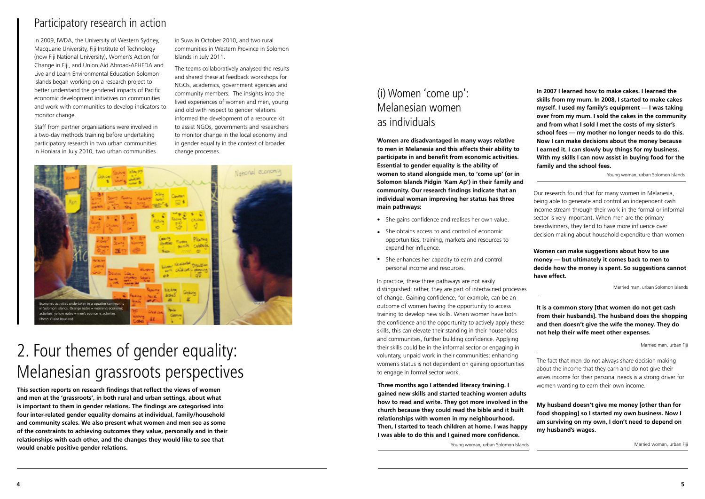**4 5**

In 2009, IWDA, the University of Western Sydney, Macquarie University, Fiji Institute of Technology (now Fiji National University), Women's Action for Change in Fiji, and Union Aid Abroad-APHEDA and Live and Learn Environmental Education Solomon Islands began working on a research project to better understand the gendered impacts of Pacific economic development initiatives on communities and work with communities to develop indicators to monitor change.

Staff from partner organisations were involved in a two-day methods training before undertaking participatory research in two urban communities in Honiara in July 2010, two urban communities

### Participatory research in action

in Suva in October 2010, and two rural communities in Western Province in Solomon Islands in July 2011.

The teams collaboratively analysed the results and shared these at feedback workshops for NGOs, academics, government agencies and community members. The insights into the lived experiences of women and men, young and old with respect to gender relations informed the development of a resource kit to assist NGOs, governments and researchers to monitor change in the local economy and in gender equality in the context of broader change processes.

# 2. Four themes of gender equality: Melanesian grassroots perspectives

**This section reports on research findings that reflect the views of women and men at the 'grassroots', in both rural and urban settings, about what is important to them in gender relations. The findings are categorised into four inter-related gender equality domains at individual, family/household and community scales. We also present what women and men see as some of the constraints to achieving outcomes they value, personally and in their relationships with each other, and the changes they would like to see that would enable positive gender relations.** 

**Women are disadvantaged in many ways relative to men in Melanesia and this affects their ability to participate in and benefit from economic activities. Essential to gender equality is the ability of women to stand alongside men, to 'come up' (or in Solomon Islands Pidgin 'Kam Ap') in their family and community. Our research findings indicate that an individual woman improving her status has three main pathways:**

### (i) Women 'come up': Melanesian women as individuals

Young woman, urban Solomon Islands

Young woman, urban Solomon Islands

Married woman, urban Fiji

- She gains confidence and realises her own value.
- She obtains access to and control of economic opportunities, training, markets and resources to expand her influence.
- She enhances her capacity to earn and control personal income and resources.



**Women can make suggestions about how to use money — but ultimately it comes back to men to decide how the money is spent. So suggestions cannot have effect.**

**My husband doesn't give me money [other than for food shopping] so I started my own business. Now I am surviving on my own, I don't need to depend on my husband's wages. gained new skills and started teaching women adults how to read and write. They got more involved in the church because they could read the bible and it built relationships with women in my neighbourhood. Then, I started to teach children at home. I was happy I was able to do this and I gained more confidence.**

Our research found that for many women in Melanesia, being able to generate and control an independent cash income stream through their work in the formal or informal sector is very important. When men are the primary breadwinners, they tend to have more influence over decision making about household expenditure than women.

Married man, urban Solomon Islands Married man, urban Fiji The fact that men do not always share decision making about the income that they earn and do not give their wives income for their personal needs is a strong driver for women wanting to earn their own income. **It is a common story [that women do not get cash from their husbands]. The husband does the shopping and then doesn't give the wife the money. They do not help their wife meet other expenses. Three months ago I attended literacy training. I**  In practice, these three pathways are not easily distinguished; rather, they are part of intertwined processes of change. Gaining confidence, for example, can be an outcome of women having the opportunity to access training to develop new skills. When women have both the confidence and the opportunity to actively apply these skills, this can elevate their standing in their households and communities, further building confidence. Applying their skills could be in the informal sector or engaging in voluntary, unpaid work in their communities; enhancing women's status is not dependent on gaining opportunities to engage in formal sector work.

**In 2007 I learned how to make cakes. I learned the skills from my mum. In 2008, I started to make cakes myself. I used my family's equipment — I was taking over from my mum. I sold the cakes in the community and from what I sold I met the costs of my sister's school fees — my mother no longer needs to do this. Now I can make decisions about the money because I earned it. I can slowly buy things for my business. With my skills I can now assist in buying food for the family and the school fees.**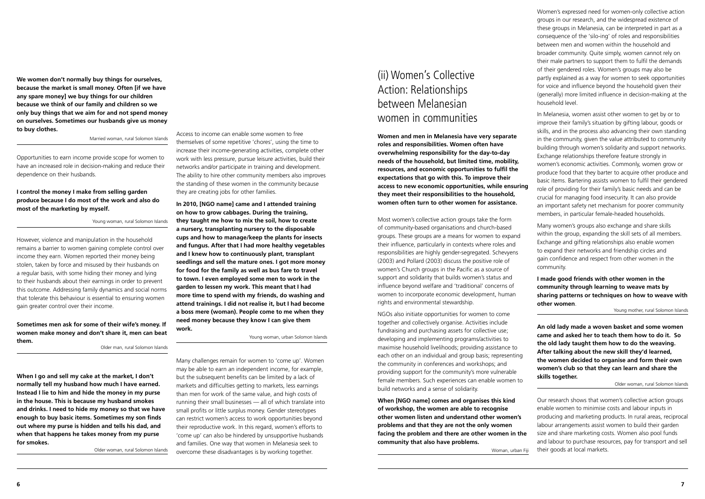Most women's collective action groups take the form of community-based organisations and church-based groups. These groups are a means for women to expand their influence, particularly in contexts where roles and responsibilities are highly gender-segregated. Schevyens (2003) and Pollard (2003) discuss the positive role of women's Church groups in the Pacific as a source of support and solidarity that builds women's status and influence beyond welfare and 'traditional' concerns of women to incorporate economic development, human rights and environmental stewardship.

NGOs also initiate opportunities for women to come together and collectively organise. Activities include fundraising and purchasing assets for collective use; developing and implementing programs/activities to maximise household livelihoods; providing assistance to each other on an individual and group basis; representing the community in conferences and workshops; and providing support for the community's more vulnerable female members. Such experiences can enable women to build networks and a sense of solidarity.

**When [NGO name] comes and organises this kind of workshop, the women are able to recognise other women listen and understand other women's problems and that they are not the only women facing the problem and there are other women in the community that also have problems.**

### (ii) Women's Collective Action: Relationships between Melanesian women in communities

**Women and men in Melanesia have very separate roles and responsibilities. Women often have overwhelming responsibility for the day-to-day needs of the household, but limited time, mobility, resources, and economic opportunities to fulfil the expectations that go with this. To improve their access to new economic opportunities, while ensuring they meet their responsibilities to the household, women often turn to other women for assistance.** 

Women's expressed need for women-only collective action groups in our research, and the widespread existence of these groups in Melanesia, can be interpreted in part as a consequence of the 'silo-ing' of roles and responsibilities between men and women within the household and broader community. Quite simply, women cannot rely on their male partners to support them to fulfil the demands of their gendered roles. Women's groups may also be partly explained as a way for women to seek opportunities for voice and influence beyond the household given their (generally) more limited influence in decision-making at the household level.

Older woman, rural Solomon Islands overcome these disadvantages is by working together. The manuscription of the woman whan Fiji Many challenges remain for women to 'come up'. Women may be able to earn an independent income, for example, but the subsequent benefits can be limited by a lack of markets and difficulties getting to markets, less earnings than men for work of the same value, and high costs of running their small businesses — all of which translate into small profits or little surplus money. Gender stereotypes can restrict women's access to work opportunities beyond their reproductive work. In this regard, women's efforts to 'come up' can also be hindered by unsupportive husbands and families. One way that women in Melanesia seek to

In Melanesia, women assist other women to get by or to improve their family's situation by gifting labour, goods or skills, and in the process also advancing their own standing in the community, given the value attributed to community building through women's solidarity and support networks. Exchange relationships therefore feature strongly in women's economic activities. Commonly, women grow or produce food that they barter to acquire other produce and basic items. Bartering assists women to fulfil their gendered role of providing for their family's basic needs and can be crucial for managing food insecurity. It can also provide an important safety net mechanism for poorer community members, in particular female-headed households.

Many women's groups also exchange and share skills within the group, expanding the skill sets of all members. Exchange and gifting relationships also enable women to expand their networks and friendship circles and gain confidence and respect from other women in the community.

**I made good friends with other women in the community through learning to weave mats by sharing patterns or techniques on how to weave with other women**.

**An old lady made a woven basket and some women came and asked her to teach them how to do it. So the old lady taught them how to do the weaving. After talking about the new skill they'd learned, the women decided to organise and form their own women's club so that they can learn and share the skills together.**

Our research shows that women's collective action groups enable women to minimise costs and labour inputs in producing and marketing products. In rural areas, reciprocal labour arrangements assist women to build their garden size and share marketing costs. Women also pool funds and labour to purchase resources, pay for transport and sell their goods at local markets.

Young woman, rural Solomon Islands

Young mother, rural Solomon Islands

Older woman, rural Solomon Islands

Older man, rural Solomon Islands

Young woman, urban Solomon Islands

Access to income can enable some women to free themselves of some repetitive 'chores', using the time to increase their income-generating activities, complete other work with less pressure, pursue leisure activities, build their networks and/or participate in training and development. The ability to hire other community members also improves the standing of these women in the community because they are creating jobs for other families.

**Sometimes men ask for some of their wife's money. If women make money and don't share it, men can beat them.** 

**When I go and sell my cake at the market, I don't normally tell my husband how much I have earned. Instead I lie to him and hide the money in my purse in the house. This is because my husband smokes and drinks. I need to hide my money so that we have enough to buy basic items. Sometimes my son finds out where my purse is hidden and tells his dad, and when that happens he takes money from my purse for smokes.**

**In 2010, [NGO name] came and I attended training on how to grow cabbages. During the training, they taught me how to mix the soil, how to create a nursery, transplanting nursery to the disposable cups and how to manage/keep the plants for insects and fungus. After that I had more healthy vegetables and I knew how to continuously plant, transplant seedlings and sell the mature ones. I got more money for food for the family as well as bus fare to travel to town. I even employed some men to work in the garden to lessen my work. This meant that I had more time to spend with my friends, do washing and attend trainings. I did not realise it, but I had become a boss mere (woman). People come to me when they need money because they know I can give them work.**

However, violence and manipulation in the household remains a barrier to women gaining complete control over income they earn. Women reported their money being stolen, taken by force and misused by their husbands on a regular basis, with some hiding their money and lying to their husbands about their earnings in order to prevent this outcome. Addressing family dynamics and social norms that tolerate this behaviour is essential to ensuring women gain greater control over their income.

### **I control the money I make from selling garden produce because I do most of the work and also do most of the marketing by myself.**

Opportunities to earn income provide scope for women to have an increased role in decision-making and reduce their dependence on their husbands.

Married woman, rural Solomon Islands

**We women don't normally buy things for ourselves, because the market is small money. Often [if we have any spare money] we buy things for our children because we think of our family and children so we only buy things that we aim for and not spend money on ourselves. Sometimes our husbands give us money to buy clothes.**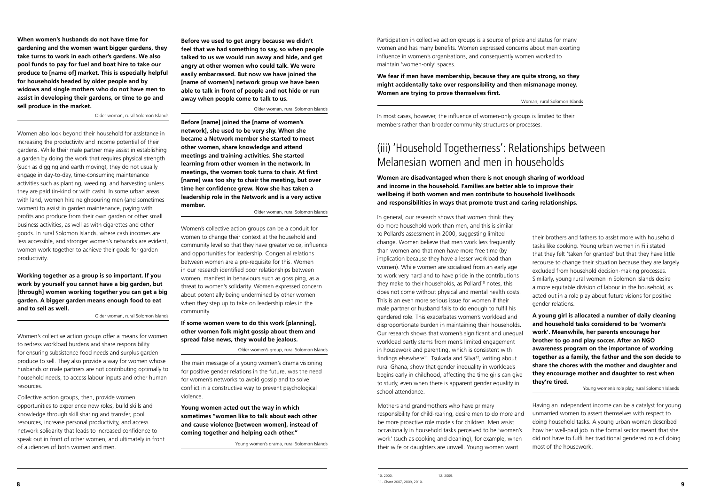**Before we used to get angry because we didn't feel that we had something to say, so when people talked to us we would run away and hide, and get angry at other women who could talk. We were easily embarrassed. But now we have joined the [name of women's] network group we have been able to talk in front of people and not hide or run away when people come to talk to us.**

**Before [name] joined the [name of women's network], she used to be very shy. When she became a Network member she started to meet other women, share knowledge and attend meetings and training activities. She started learning from other women in the network. In meetings, the women took turns to chair. At first [name] was too shy to chair the meeting, but over time her confidence grew. Now she has taken a leadership role in the Network and is a very active member.**

Women's collective action groups can be a conduit for women to change their context at the household and community level so that they have greater voice, influence and opportunities for leadership. Congenial relations between women are a pre-requisite for this. Women in our research identified poor relationships between women, manifest in behaviours such as gossiping, as a threat to women's solidarity. Women expressed concern about potentially being undermined by other women when they step up to take on leadership roles in the community.

### **If some women were to do this work [planning], other women folk might gossip about them and spread false news, they would be jealous.**

The main message of a young women's drama visioning for positive gender relations in the future, was the need for women's networks to avoid gossip and to solve conflict in a constructive way to prevent psychological violence.

**Young women acted out the way in which sometimes "women like to talk about each other and cause violence [between women], instead of coming together and helping each other."**

## (iii) 'Household Togetherness': Relationships between Melanesian women and men in households

**Women are disadvantaged when there is not enough sharing of workload and income in the household. Families are better able to improve their wellbeing if both women and men contribute to household livelihoods and responsibilities in ways that promote trust and caring relationships.**

Mothers and grandmothers who have primary responsibility for child-rearing, desire men to do more and be more proactive role models for children. Men assist occasionally in household tasks perceived to be 'women's work' (such as cooking and cleaning), for example, when their wife or daughters are unwell. Young women want

Having an independent income can be a catalyst for young unmarried women to assert themselves with respect to doing household tasks. A young urban woman described how her well-paid job in the formal sector meant that she did not have to fulfil her traditional gendered role of doing most of the housework.

In general, our research shows that women think they do more household work than men, and this is similar to Pollard's assessment in 2000, suggesting limited change. Women believe that men work less frequently than women and that men have more free time (by implication because they have a lesser workload than women). While women are socialised from an early age to work very hard and to have pride in the contributions they make to their households, as Pollard<sup>10</sup> notes, this does not come without physical and mental health costs. This is an even more serious issue for women if their male partner or husband fails to do enough to fulfil his gendered role. This exacerbates women's workload and disproportionate burden in maintaining their households. Our research shows that women's significant and unequal workload partly stems from men's limited engagement in housework and parenting, which is consistent with findings elsewhere<sup>11</sup>. Tsukada and Silva<sup>12</sup>, writing about rural Ghana, show that gender inequality in workloads begins early in childhood, affecting the time girls can give to study, even when there is apparent gender equality in school attendance. their brothers and fathers to assist more with household tasks like cooking. Young urban women in Fiji stated that they felt 'taken for granted' but that they have little recourse to change their situation because they are largely excluded from household decision-making processes. Similarly, young rural women in Solomon Islands desire a more equitable division of labour in the household, as acted out in a role play about future visions for positive gender relations. **A young girl is allocated a number of daily cleaning and household tasks considered to be 'women's work'. Meanwhile, her parents encourage her brother to go and play soccer. After an NGO awareness program on the importance of working together as a family, the father and the son decide to share the chores with the mother and daughter and they encourage mother and daughter to rest when they're tired.** Young women's role play, rural Solomon Islands

**When women's husbands do not have time for gardening and the women want bigger gardens, they take turns to work in each other's gardens. We also pool funds to pay for fuel and boat hire to take our produce to [name of] market. This is especially helpful for households headed by older people and by widows and single mothers who do not have men to assist in developing their gardens, or time to go and sell produce in the market.**

Women also look beyond their household for assistance in increasing the productivity and income potential of their gardens. While their male partner may assist in establishing a garden by doing the work that requires physical strength (such as digging and earth moving), they do not usually engage in day-to-day, time-consuming maintenance activities such as planting, weeding, and harvesting unless they are paid (in-kind or with cash). In some urban areas with land, women hire neighbouring men (and sometimes women) to assist in garden maintenance, paying with profits and produce from their own garden or other small business activities, as well as with cigarettes and other goods. In rural Solomon Islands, where cash incomes are less accessible, and stronger women's networks are evident, women work together to achieve their goals for garden productivity.

**Working together as a group is so important. If you work by yourself you cannot have a big garden, but [through] women working together you can get a big garden. A bigger garden means enough food to eat and to sell as well.**

Women's collective action groups offer a means for women to redress workload burdens and share responsibility for ensuring subsistence food needs and surplus garden produce to sell. They also provide a way for women whose husbands or male partners are not contributing optimally to household needs, to access labour inputs and other human resources.

Collective action groups, then, provide women opportunities to experience new roles, build skills and knowledge through skill sharing and transfer, pool resources, increase personal productivity, and access network solidarity that leads to increased confidence to speak out in front of other women, and ultimately in front of audiences of both women and men.

Older woman, rural Solomon Islands

Older woman, rural Solomon Islands

Woman, rural Solomon Islands

Older woman, rural Solomon Islands

Older women's group, rural Solomon Islands

Young women's drama, rural Solomon Islands

Older woman, rural Solomon Islands

Participation in collective action groups is a source of pride and status for many women and has many benefits. Women expressed concerns about men exerting influence in women's organisations, and consequently women worked to maintain 'women-only' spaces.

**We fear if men have membership, because they are quite strong, so they might accidentally take over responsibility and then mismanage money. Women are trying to prove themselves first.**

In most cases, however, the influence of women-only groups is limited to their members rather than broader community structures or processes.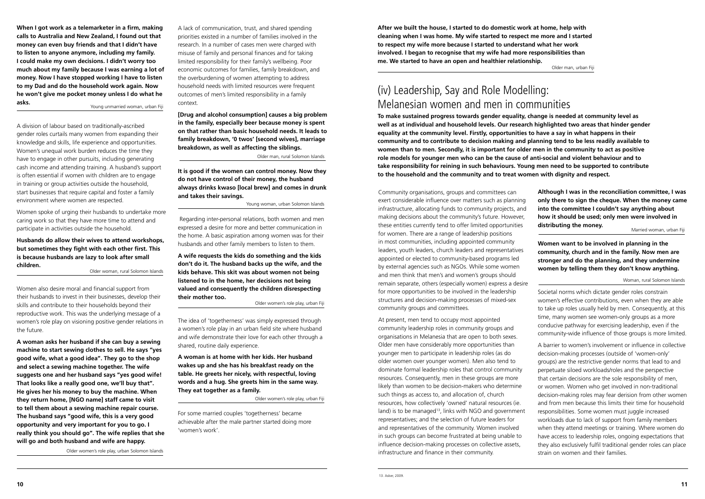**When I got work as a telemarketer in a firm, making calls to Australia and New Zealand, I found out that money can even buy friends and that I didn't have to listen to anyone anymore, including my family. I could make my own decisions. I didn't worry too much about my family because I was earning a lot of money. Now I have stopped working I have to listen to my Dad and do the household work again. Now he won't give me pocket money unless I do what he asks.**

Women spoke of urging their husbands to undertake more caring work so that they have more time to attend and participate in activities outside the household.

A division of labour based on traditionally-ascribed gender roles curtails many women from expanding their knowledge and skills, life experience and opportunities. Women's unequal work burden reduces the time they have to engage in other pursuits, including generating cash income and attending training. A husband's support is often essential if women with children are to engage in training or group activities outside the household, start businesses that require capital and foster a family environment where women are respected.

**Husbands do allow their wives to attend workshops, but sometimes they fight with each other first. This is because husbands are lazy to look after small children.** 

Women also desire moral and financial support from their husbands to invest in their businesses, develop their skills and contribute to their households beyond their reproductive work. This was the underlying message of a women's role play on visioning positive gender relations in the future.

**A woman asks her husband if she can buy a sewing machine to start sewing clothes to sell. He says "yes good wife, what a good idea". They go to the shop and select a sewing machine together. The wife suggests one and her husband says "yes good wife! That looks like a really good one, we'll buy that". He gives her his money to buy the machine. When they return home, [NGO name] staff came to visit to tell them about a sewing machine repair course. The husband says "good wife, this is a very good opportunity and very important for you to go. I really think you should go". The wife replies that she will go and both husband and wife are happy.**

A lack of communication, trust, and shared spending priorities existed in a number of families involved in the research. In a number of cases men were charged with misuse of family and personal finances and for taking limited responsibility for their family's wellbeing. Poor economic outcomes for families, family breakdown, and the overburdening of women attempting to address household needs with limited resources were frequent outcomes of men's limited responsibility in a family context.

**[Drug and alcohol consumption] causes a big problem in the family, especially beer because money is spent on that rather than basic household needs. It leads to family breakdown, '0 twos' [second wives], marriage breakdown, as well as affecting the siblings.**

**It is good if the women can control money. Now they do not have control of their money, the husband always drinks kwaso [local brew] and comes in drunk and takes their savings.**

 Regarding inter-personal relations, both women and men expressed a desire for more and better communication in the home. A basic aspiration among women was for their husbands and other family members to listen to them.

**A wife requests the kids do something and the kids don't do it. The husband backs up the wife, and the kids behave. This skit was about women not being listened to in the home, her decisions not being valued and consequently the children disrespecting their mother too.**

The idea of 'togetherness' was simply expressed through a women's role play in an urban field site where husband and wife demonstrate their love for each other through a shared, routine daily experience.

**A woman is at home with her kids. Her husband wakes up and she has his breakfast ready on the table. He greets her nicely, with respectful, loving words and a hug. She greets him in the same way. They eat together as a family.**

For some married couples 'togetherness' became achievable after the male partner started doing more 'women's work'.

### (iv) Leadership, Say and Role Modelling: Melanesian women and men in communities

At present, men tend to occupy most appointed community leadership roles in community groups and organisations in Melanesia that are open to both sexes. Older men have considerably more opportunities than younger men to participate in leadership roles (as do older women over younger women). Men also tend to dominate formal leadership roles that control community resources. Consequently, men in these groups are more likely than women to be decision-makers who determine such things as access to, and allocation of, church resources, how collectively 'owned' natural resources (ie. land) is to be managed<sup>13</sup>, links with NGO and government representatives; and the selection of future leaders for and representatives of the community. Women involved in such groups can become frustrated at being unable to influence decision-making processes on collective assets, infrastructure and finance in their community.

Community organisations, groups and committees can exert considerable influence over matters such as planning infrastructure, allocating funds to community projects, and making decisions about the community's future. However, these entities currently tend to offer limited opportunities for women. There are a range of leadership positions in most communities, including appointed community leaders, youth leaders, church leaders and representatives appointed or elected to community-based programs led by external agencies such as NGOs. While some women and men think that men's and women's groups should remain separate, others (especially women) express a desire for more opportunities to be involved in the leadership structures and decision-making processes of mixed-sex community groups and committees. **Although I was in the reconciliation committee, I was only there to sign the cheque. When the money came into the committee I couldn't say anything about how it should be used; only men were involved in distributing the money. Women want to be involved in planning in the community, church and in the family. Now men are stronger and do the planning, and they undermine women by telling them they don't know anything.** Societal norms which dictate gender roles constrain women's effective contributions, even when they are able to take up roles usually held by men. Consequently, at this Married woman, urban Fiji Woman, rural Solomon Islands

time, many women see women-only groups as a more conducive pathway for exercising leadership, even if the community-wide influence of those groups is more limited.

A barrier to women's involvement or influence in collective decision-making processes (outside of 'women-only' groups) are the restrictive gender norms that lead to and perpetuate siloed workloads/roles and the perspective that certain decisions are the sole responsibility of men, or women. Women who get involved in non-traditional decision-making roles may fear derision from other women and from men because this limits their time for household responsibilities. Some women must juggle increased workloads due to lack of support from family members when they attend meetings or training. Where women do have access to leadership roles, ongoing expectations that they also exclusively fulfil traditional gender roles can place strain on women and their families.

**To make sustained progress towards gender equality, change is needed at community level as well as at individual and household levels. Our research highlighted two areas that hinder gender equality at the community level. Firstly, opportunities to have a say in what happens in their community and to contribute to decision making and planning tend to be less readily available to women than to men. Secondly, it is important for older men in the community to act as positive role models for younger men who can be the cause of anti-social and violent behaviour and to take responsibility for reining in such behaviours. Young men need to be supported to contribute to the household and the community and to treat women with dignity and respect.** 

Young unmarried woman, urban Fiji

Older man, rural Solomon Islands

Older women's role play, urban Fiji

Young woman, urban Solomon Islands

Older women's role play, urban Fiji

Older woman, rural Solomon Islands

Older women's role play, urban Solomon Islands

**After we built the house, I started to do domestic work at home, help with cleaning when I was home. My wife started to respect me more and I started to respect my wife more because I started to understand what her work involved. I began to recognise that my wife had more responsibilities than me. We started to have an open and healthier relationship.**

Older man, urban Fiji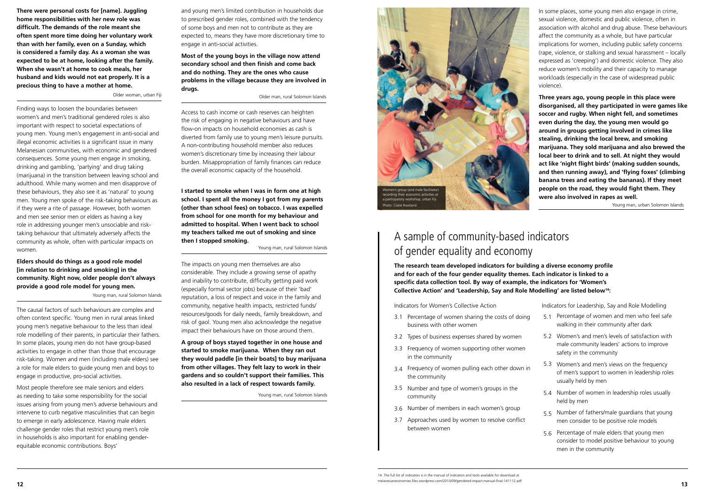**There were personal costs for [name]. Juggling home responsibilities with her new role was difficult. The demands of the role meant she often spent more time doing her voluntary work than with her family, even on a Sunday, which is considered a family day. As a woman she was expected to be at home, looking after the family. When she wasn't at home to cook meals, her husband and kids would not eat properly. It is a precious thing to have a mother at home.**

Finding ways to loosen the boundaries between women's and men's traditional gendered roles is also important with respect to societal expectations of young men. Young men's engagement in anti-social and illegal economic activities is a significant issue in many Melanesian communities, with economic and gendered consequences. Some young men engage in smoking, drinking and gambling, 'partying' and drug taking (marijuana) in the transition between leaving school and adulthood. While many women and men disapprove of these behaviours, they also see it as 'natural' to young men. Young men spoke of the risk-taking behaviours as if they were a rite of passage. However, both women and men see senior men or elders as having a key role in addressing younger men's unsociable and risktaking behaviour that ultimately adversely affects the community as whole, often with particular impacts on women.

### **Elders should do things as a good role model [in relation to drinking and smoking] in the community. Right now, older people don't always provide a good role model for young men.**

The causal factors of such behaviours are complex and often context specific. Young men in rural areas linked young men's negative behaviour to the less than ideal role modelling of their parents, in particular their fathers. In some places, young men do not have group-based activities to engage in other than those that encourage risk-taking. Women and men (including male elders) see a role for male elders to guide young men and boys to engage in productive, pro-social activities.

Most people therefore see male seniors and elders as needing to take some responsibility for the social issues arising from young men's adverse behaviours and intervene to curb negative masculinities that can begin to emerge in early adolescence. Having male elders challenge gender roles that restrict young men's role in households is also important for enabling genderequitable economic contributions. Boys'

and young men's limited contribution in households due to prescribed gender roles, combined with the tendency of some boys and men not to contribute as they are expected to, means they have more discretionary time to engage in anti-social activities.

**Most of the young boys in the village now attend secondary school and then finish and come back and do nothing. They are the ones who cause problems in the village because they are involved in drugs.**

Access to cash income or cash reserves can heighten the risk of engaging in negative behaviours and have flow-on impacts on household economies as cash is diverted from family use to young men's leisure pursuits. A non-contributing household member also reduces women's discretionary time by increasing their labour burden. Misappropriation of family finances can reduce the overall economic capacity of the household.

Older woman, urban Fiji

- 5.1 Percentage of women and men who feel safe walking in their community after dark
- Women's and men's levels of satisfaction with male community leaders' actions to improve safety in the community
- 5.3 Women's and men's views on the frequency of men's support to women in leadership roles usually held by men
- 5.4 Number of women in leadership roles usually held by men
- 5.5 Number of fathers/male guardians that young men consider to be positive role models
- 5.6 Percentage of male elders that young men consider to model positive behaviour to young men in the community

Young man, rural Solomon Islands

Older man, rural Solomon Islands

Young man, urban Solomon Islands

Young man, rural Solomon Islands

- 3.1 Percentage of women sharing the costs of doing 5.1 business with other women
- Types of business expenses shared by women 3.2 5.2
- 3.3 Frequency of women supporting other women in the community
- 3.4 Frequency of women pulling each other down in the community
- 3.5 Number and type of women's groups in the community
- 3.6 Number of members in each women's group
- 3.7 Approaches used by women to resolve conflict between women

**I started to smoke when I was in form one at high school. I spent all the money I got from my parents (other than school fees) on tobacco. I was expelled from school for one month for my behaviour and admitted to hospital. When I went back to school my teachers talked me out of smoking and since then I stopped smoking.**

The impacts on young men themselves are also considerable. They include a growing sense of apathy and inability to contribute, difficulty getting paid work (especially formal sector jobs) because of their 'bad' reputation, a loss of respect and voice in the family and community, negative health impacts, restricted funds/ resources/goods for daily needs, family breakdown, and risk of gaol. Young men also acknowledge the negative impact their behaviours have on those around them.

**A group of boys stayed together in one house and started to smoke marijuana. When they ran out they would paddle [in their boats] to buy marijuana from other villages. They felt lazy to work in their gardens and so couldn't support their families. This also resulted in a lack of respect towards family.**

In some places, some young men also engage in crime, sexual violence, domestic and public violence, often in association with alcohol and drug abuse. These behaviours affect the community as a whole, but have particular implications for women, including public safety concerns (rape, violence, or stalking and sexual harassment – locally expressed as 'creeping') and domestic violence. They also reduce women's mobility and their capacity to manage workloads (especially in the case of widespread public violence).

**Three years ago, young people in this place were disorganised, all they participated in were games like soccer and rugby. When night fell, and sometimes even during the day, the young men would go around in groups getting involved in crimes like stealing, drinking the local brew, and smoking marijuana. They sold marijuana and also brewed the local beer to drink and to sell. At night they would act like 'night flight birds' (making sudden sounds, and then running away), and 'flying foxes' (climbing banana trees and eating the bananas). If they meet people on the road, they would fight them. They were also involved in rapes as well.**

**The research team developed indicators for building a diverse economy profile and for each of the four gender equality themes. Each indicator is linked to a specific data collection tool. By way of example, the indicators for 'Women's Collective Action' and 'Leadership, Say and Role Modelling' are listed below14:**

### A sample of community-based indicators of gender equality and economy

Indicators for Women's Collective Action Indicators for Leadership, Say and Role Modelling



Young man, rural Solomon Islands

**<sup>12</sup> 13** 14. The full list of indicators is in the manual of indicators and tools available for download at melanesianeconomies.files.wordpress.com/2010/09/gendered-impact-manual-final-141112.pdf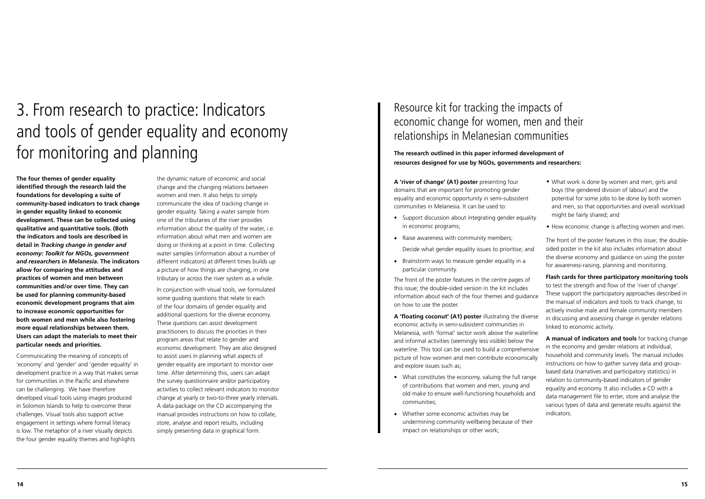**The four themes of gender equality identified through the research laid the foundations for developing a suite of community-based indicators to track change in gender equality linked to economic development. These can be collected using qualitative and quantitative tools. (Both the indicators and tools are described in detail in** *Tracking change in gender and economy: Toolkit for NGOs, government and researchers in Melanesia***. The indicators allow for comparing the attitudes and practices of women and men between communities and/or over time. They can be used for planning community-based economic development programs that aim to increase economic opportunities for both women and men while also fostering more equal relationships between them. Users can adapt the materials to meet their particular needs and priorities.** 

Communicating the meaning of concepts of 'economy' and 'gender' and 'gender equality' in development practice in a way that makes sense for communities in the Pacific and elsewhere can be challenging. We have therefore developed visual tools using images produced in Solomon Islands to help to overcome these challenges. Visual tools also support active engagement in settings where formal literacy is low. The metaphor of a river visually depicts the four gender equality themes and highlights

# 3. From research to practice: Indicators and tools of gender equality and economy for monitoring and planning

A 'river of change' (A1) poster presenting four domains that are important for promoting gender equality and economic opportunity in semi-subsistent communities in Melanesia. It can be used to:

the dynamic nature of economic and social change and the changing relations between women and men. It also helps to simply communicate the idea of tracking change in gender equality. Taking a water sample from one of the tributaries of the river provides information about the quality of the water, i.e. information about what men and women are doing or thinking at a point in time. Collecting water samples (information about a number of different indicators) at different times builds up a picture of how things are changing, in one tributary or across the river system as a whole.

In conjunction with visual tools, we formulated some guiding questions that relate to each of the four domains of gender equality and additional questions for the diverse economy. These questions can assist development practitioners to discuss the priorities in their program areas that relate to gender and economic development. They are also designed to assist users in planning what aspects of gender equality are important to monitor over time. After determining this, users can adapt the survey questionnaire and/or participatory activities to collect relevant indicators to monitor change at yearly or two-to-three yearly intervals. A data package on the CD accompanying the manual provides instructions on how to collate, store, analyse and report results, including simply presenting data in graphical form.

**A 'floating coconut' (A1) poster** illustrating the diver economic activity in semi-subsistent communities in Melanesia, with 'formal' sector work above the waterling and informal activities (seemingly less visible) below the waterline. This tool can be used to build a comprehensi picture of how women and men contribute economical and explore issues such as;

### Resource kit for tracking the impacts of economic change for women, men and their relationships in Melanesian communities

**The research outlined in this paper informed development of resources designed for use by NGOs, governments and researchers:**

| ty                          | • What work is done by women and men, girls and<br>boys (the gendered division of labour) and the<br>potential for some jobs to be done by both women<br>and men, so that opportunities and overall workload<br>might be fairly shared; and                                                                                                                                                                                                                                                                                     |
|-----------------------------|---------------------------------------------------------------------------------------------------------------------------------------------------------------------------------------------------------------------------------------------------------------------------------------------------------------------------------------------------------------------------------------------------------------------------------------------------------------------------------------------------------------------------------|
|                             | • How economic change is affecting women and men.                                                                                                                                                                                                                                                                                                                                                                                                                                                                               |
| J                           | The front of the poster features in this issue; the double-<br>sided poster in the kit also includes information about<br>the diverse economy and guidance on using the poster<br>for awareness-raising, planning and monitoring.                                                                                                                                                                                                                                                                                               |
| ce<br>se·                   | Flash cards for three participatory monitoring tools<br>to test the strength and flow of the 'river of change'.<br>These support the participatory approaches described in<br>the manual of indicators and tools to track change, to<br>actively involve male and female community members<br>in discussing and assessing change in gender relations<br>linked to economic activity.                                                                                                                                            |
| ne<br>ive<br>lly<br>Įе<br>d | A manual of indicators and tools for tracking change<br>in the economy and gender relations at individual,<br>household and community levels. The manual includes<br>instructions on how to gather survey data and group-<br>based data (narratives and participatory statistics) in<br>relation to community-based indicators of gender<br>equality and economy. It also includes a CD with a<br>data management file to enter, store and analyse the<br>various types of data and generate results against the<br>indicators. |

- **•** What constitutes the economy, valuing the full range of contributions that women and men, young and old make to ensure well-functioning households and communities;
- **•** Whether some economic activities may be undermining community wellbeing because of their impact on relationships or other work;

- **•** Support discussion about integrating gender equality in economic programs;
- **•** Raise awareness with community members;
- Decide what gender equality issues to prioritise; and
- **•** Brainstorm ways to measure gender equality in a particular community.

The front of the poster features in the centre pages of this issue; the double-sided version in the kit includes information about each of the four themes and quidar on how to use the poster.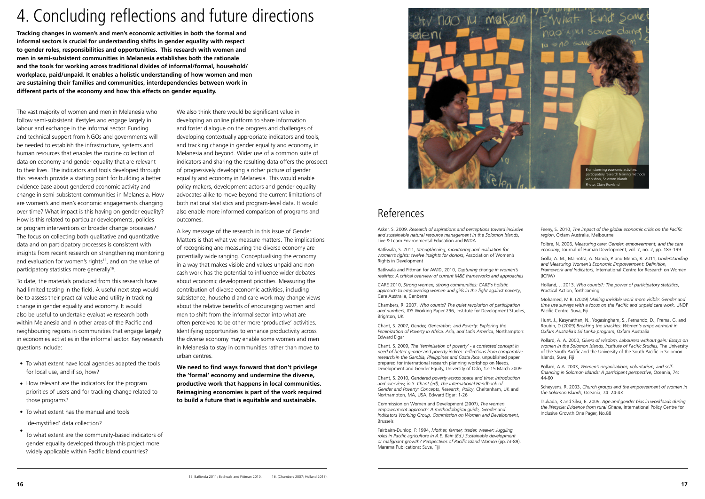### References

Asker, S. 2009. *Research of aspirations and perceptions toward inclusive and sustainable natural resource management in the Solomon Islands*, Live & Learn Environmental Education and IWDA

Batliwala, S. 2011, *Strengthening, monitoring and evaluation for women's rights: twelve insights for donors*, Association of Women's Rights in Development

Batliwala and Pittman for AWID, 2010, *Capturing change in women's realities: A critical overview of current M&E frameworks and approaches*

CARE 2010, *Strong women, strong communities: CARE's holistic approach to empowering women and girls in the fight against poverty*, Care Australia, Canberra

Chambers, R. 2007, *Who counts? The quiet revolution of participation and numbers*, IDS Working Paper 296, Institute for Development Studies, Brighton, UK

Chant, S. 2007, *Gender, Generation, and Poverty: Exploring the Feminization of Poverty in Africa, Asia, and Latin America*, Northampton: Edward Elgar

Chant. S. 2009, *The 'feminisation of poverty' - a contested concept in need of better gender and poverty indices: reflections from comparative research in the Gambia, Philippines and Costa Rica*, unpublished paper prepared for international research planning workshop on Needs, Development and Gender Equity, University of Oslo, 12-15 March 2009

Chant, S. 2010, *Gendered poverty across space and time: introduction and overview, in S. Chant (ed), The International Handbook of Gender and Poverty: Concepts, Research, Policy*, Cheltenham, UK and Northampton, MA, USA, Edward Elgar: 1-26

Commission on Women and Development (2007), *The women empowerment approach: A methodological guide, Gender and Indicators Working Group, Commission on Women and Development*, Brussels

The vast majority of women and men in Melanesia who follow semi-subsistent lifestyles and engage largely in labour and exchange in the informal sector. Funding and technical support from NGOs and governments will be needed to establish the infrastructure, systems and human resources that enables the routine collection of data on economy and gender equality that are relevant to their lives. The indicators and tools developed through this research provide a starting point for building a better evidence base about gendered economic activity and change in semi-subsistent communities in Melanesia. How are women's and men's economic engagements changing over time? What impact is this having on gender equality? How is this related to particular developments, policies or program interventions or broader change processes? The focus on collecting both qualitative and quantitative data and on participatory processes is consistent with insights from recent research on strengthening monitoring and evaluation for women's rights<sup>15</sup>, and on the value of participatory statistics more generally<sup>16</sup>.

> Fairbairn-Dunlop, P. 1994, *Mother, farmer, trader, weaver: Juggling roles in Pacific agriculture in A.E. Bain (Ed.) Sustainable development or malignant growth? Perspectives of Pacific Island Women* (pp.73-89). Marama Publications: Suva, Fiji

Feeny, S. 2010, *The impact of the global economic crisis on the Pacific region*, Oxfam Australia, Melbourne

Folbre, N. 2006, *Measuring care: Gender, empowerment, and the care economy*, Journal of Human Development, vol. 7, no. 2, pp. 183-199

Golla, A. M., Malhotra, A. Nanda, P. and Mehra, R. 2011, *Understanding and Measuring Women's Economic Empowerment: Definition, Framework and Indicators*, International Centre for Research on Women (ICRW)

Holland, J. 2013, *Who counts?: The power of participatory statistics*, Practical Action, forthcoming

Mohamed, M.R. (2009) *Making invisible work more visible: Gender and time use surveys with a focus on the Pacific and unpaid care work*. UNDP Pacific Centre: Suva, Fiji

Hunt, J., Kasynathan, N., Yogasingham, S., Fernando, D., Prema, G. and Roubin, D (2009) *Breaking the shackles: Women's empowerment in Oxfam Australia's Sri Lanka program*, Oxfam Australia

Pollard, A. A. 2000, *Givers of wisdom, Labourers without gain: Essays on women in the Solomon Islands, Institute of Pacific Studies*, The University of the South Pacific and the University of the South Pacific in Solomon Islands, Suva, Fiji

Pollard, A.A. 2003, *Women's organisations, voluntarism, and selffinancing in Solomon Islands: A participant perspective*, Oceania, 74: 44-60

Scheyvens, R. 2003, *Church groups and the empowerment of women in the Solomon Islands*, Oceania, 74: 24-43

Tsukada, R and Silva, E. 2009, *Age and gender bias in workloads during the lifecycle: Evidence from rural Ghana*, International Policy Centre for Inclusive Growth One Pager, No.88

To date, the materials produced from this research have had limited testing in the field. A useful next step would be to assess their practical value and utility in tracking change in gender equality and economy. It would also be useful to undertake evaluative research both within Melanesia and in other areas of the Pacific and neighbouring regions in communities that engage largely in economies activities in the informal sector. Key research questions include:

# 4. Concluding reflections and future directions

**Tracking changes in women's and men's economic activities in both the formal and informal sectors is crucial for understanding shifts in gender equality with respect to gender roles, responsibilities and opportunities. This research with women and men in semi-subsistent communities in Melanesia establishes both the rationale and the tools for working across traditional divides of informal/formal, household/ workplace, paid/unpaid. It enables a holistic understanding of how women and men are sustaining their families and communities, interdependencies between work in different parts of the economy and how this effects on gender equality.** 

> **We need to find ways forward that don't privilege the 'formal' economy and undermine the diverse, productive work that happens in local communities. Reimagining economies is part of the work required to build a future that is equitable and sustainable.**

We also think there would be significant value in developing an online platform to share information and foster dialogue on the progress and challenges of developing contextually appropriate indicators and tools, and tracking change in gender equality and economy, in Melanesia and beyond. Wider use of a common suite of indicators and sharing the resulting data offers the prospect of progressively developing a richer picture of gender equality and economy in Melanesia. This would enable policy makers, development actors and gender equality advocates alike to move beyond the current limitations of both national statistics and program-level data. It would also enable more informed comparison of programs and outcomes.

A key message of the research in this issue of Gender Matters is that what we measure matters. The implications of recognising and measuring the diverse economy are potentially wide ranging. Conceptualising the economy in a way that makes visible and values unpaid and noncash work has the potential to influence wider debates about economic development priorities. Measuring the contribution of diverse economic activities, including subsistence, household and care work may change views about the relative benefits of encouraging women and men to shift from the informal sector into what are often perceived to be other more 'productive' activities. Identifying opportunities to enhance productivity across the diverse economy may enable some women and men in Melanesia to stay in communities rather than move to urban centres.

- To what extent have local agencies adapted the tools **•** for local use, and if so, how?
- How relevant are the indicators for the program priorities of users and for tracking change related to those programs?
- To what extent has the manual and tools **•**

'de-mystified' data collection?

To what extent are the community-based indicators of gender equality developed through this project more widely applicable within Pacific Island countries? **•**